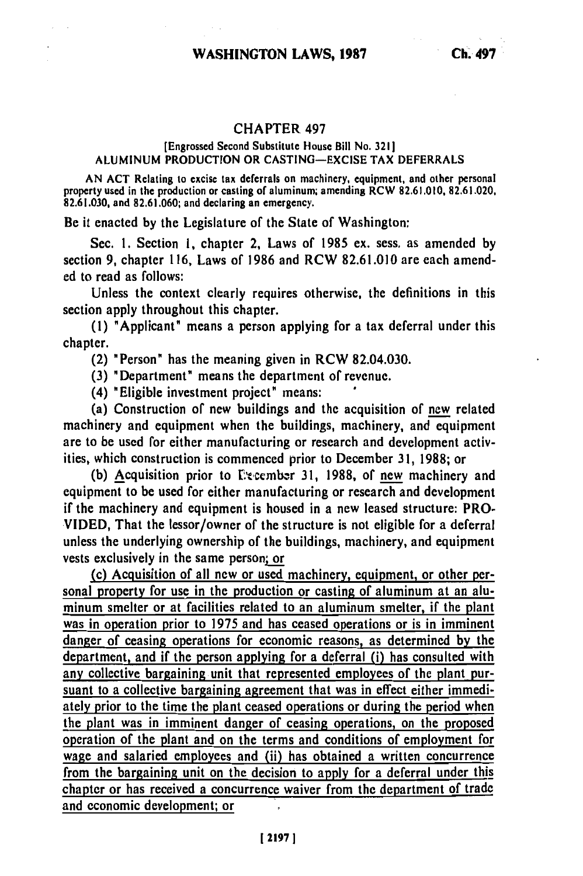## **CHAPTER 497**

## [Engrossed Second Substitute House Bill No. **3211 ALUMINUM PRODUCTION** OR **CASTING-EXCISE** TAX DEFERRALS

**AN ACT** Relating to excise tax deferrals on machinery, equipment, and other personal property used in the production or casting of aluminum; amending RCW **82.61.010, 82.61.020, 82.61.030,** and **82.61.060;** and declaring an emergency.

Be it enacted **by** the Legislature of the State of Washington:

Sec. **1.** Section **1,** chapter 2, Laws of **1985** ex. sess. as amended **by** section **9,** chapter **116,** Laws of **1986** and RCW **82.61.010** are each amended to read as follows:

Unless the context clearly requires otherwise, the definitions in this section apply throughout this chapter.

**(1)** "Applicant" means a person applying for a tax deferral under this chapter.

(2) "Person" has the meaning given in RCW 82.04.030.

**(3)** "Department" means the department of revenue.

(4) "Eligible investment project' means:

(a) Construction of new buildings and the acquisition of new related machinery and equipment when the buildings, machinery, and equipment are to be used for either manufacturing or research and development activities, which construction is commenced prior to December **31, 1988;** or

**(b)** Acquisition prior to E'%ccmbzr **31, 1988,** of new machinery and equipment to be used for either manufacturing or research and development if the machinery and equipment is housed in a new leased structure: PRO-**VIDED,** That the lessor/owner of the structure is not eligible for a deferral unless the underlying ownership of the buildings, machinery, and equipment vests exclusively in the same person; or

(c) Acquisition of all new or used machinery, equipment, or other **per**sonal property for use in the production or casting of aluminum at an aluminum smelter or at facilities related to an aluminum smelter, if the plant was in operation prior to 1975 and has ceased operations or is in imminent danger of ceasing operations for economic reasons, as determined **by** the department, and if the person applying for a deferral (i) has consulted with any collective bargaining unit that represented employees of the plant pursuant to a collective bargaining agreement that was in effect either immediately prior to the time the plant ceased operations or during the period when the plant was in imminent danger of ceasing operations, on the proposed operation of the plant and on the terms and conditions of employment for wage and salaried employees and (ii) has obtained a written concurrence from the bargaining unit on the decision to apply for a deferral under this chapter or has received a concurrence waiver from the department of trade and economic development; or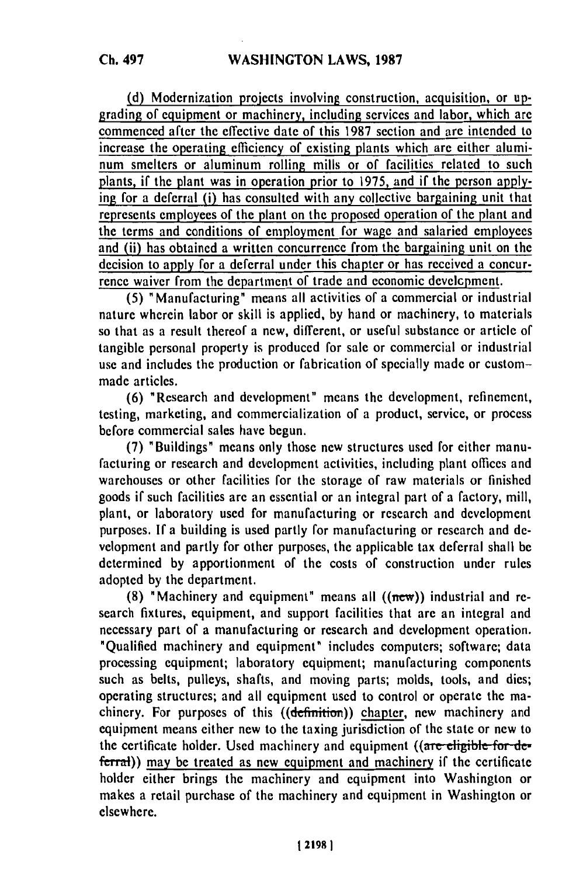(d) Modernization projects involving construction, acquisition, or upgrading of equipment or machinery, including services and labor, which are commenced after the effective date of this 1987 section and are intended to increase the operating efficiency of existing plants which are either aluminum smelters or aluminum rolling mills or of facilities related to such plants, if the plant was in operation prior to 1975, and if the person applying for a deferral (i) has consulted with any collective bargaining unit that represents employees of the plant on the proposed operation of the plant and the terms and conditions of employment for wage and salaried employees and (ii) has obtained a written concurrence from the bargaining unit on the decision to apply for a deferral under this chapter or has received a concurrence waiver from the department of trade and economic develcpment.

(5) "Manufacturing" means all activities of a commercial or industrial nature wherein labor or skill is applied, by hand or machinery, to materials so that as a result thereof a new, different, or useful substance or article of tangible personal property is produced for sale or commercial or industrial use and includes the production or fabrication of specially made or custommade articles.

(6) "Research and development" means the development, refinement, testing, marketing, and commercialization of a product, service, or process before commercial sales have begun.

**(7)** "Buildings" means only those new structures used for either manufacturing or research and development activities, including plant offices and warehouses or other facilities for the storage of raw materials or finished goods if such facilities are an essential or an integral part of a factory, mill, plant, or laboratory used for manufacturing or research and development purposes. If a building is used partly for manufacturing or research and development and partly for other purposes, the applicable tax deferral shall be determined by apportionment of the costs of construction under rules adopted by the department.

(8) "Machinery and equipment" means all  $((new))$  industrial and research fixtures, equipment, and support facilities that are an integral and necessary part of a manufacturing or research and development operation. "Qualified machinery and equipment" includes computers; software; data processing equipment; laboratory equipment; manufacturing components such as belts, pulleys, shafts, and moving parts; molds, tools, and dies; operating structures; and all equipment used to control or operate the machinery. For purposes of this ((definition)) chapter, new machinery and equipment means either new to the taxing jurisdiction of the state or new to the certificate holder. Used machinery and equipment ((are eligible for deferral)) may be treated as new equipment and machinery if the certificate holder either brings the machinery and equipment into Washington or makes a retail purchase of the machinery and equipment in Washington or elsewhere.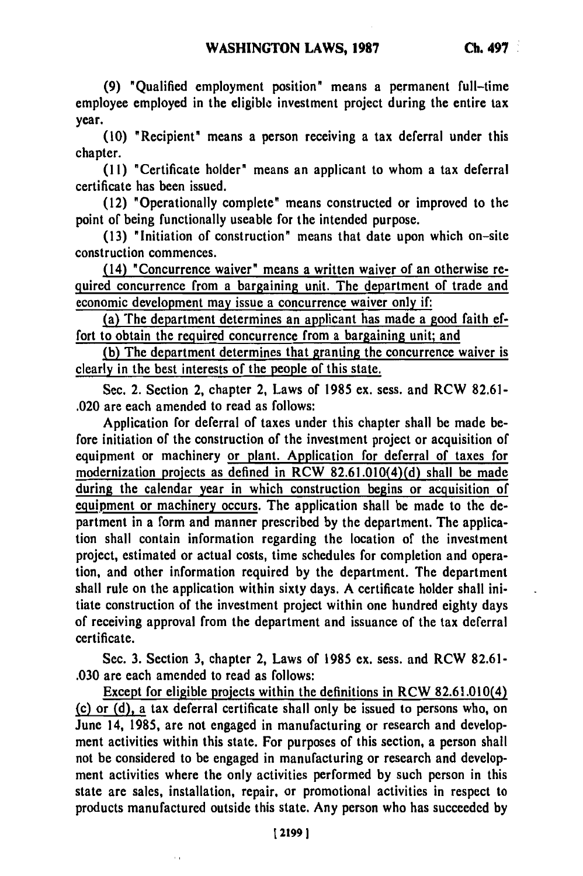**(9)** "Qualified employment position" means a permanent full-time employee employed in the eligible investment project during the entire tax year.

**(10)** "Recipient" means a person receiving a tax deferral under this chapter.

**(11)** "Certificate holder" means an applicant to whom a tax deferral certificate has been issued.

(12) "Operationally complete" means constructed or improved to the point of being functionally useable for the intended purpose.

**(13)** "Initiation of construction" means that date upon which on-site construction commences.

(14) "Concurrence waiver" means a written waiver of an otherwise required concurrence from a bargaining unit. The department of trade and economic development may issue a concurrence waiver only if:

(a) The department determines an applicant has made a good faith effort to obtain the required concurrence from a bargaining unit; and

**(b)** The department determines that granting the concurrence waiver is clearly in the best interests of the people of this state.

Sec. 2. Section 2, chapter 2, Laws of 1985 ex. sess. and RCW 82.61- .020 are each amended to read as follows:

Application for deferral of taxes under this chapter shall be made before initiation of the construction of the investment project or acquisition of equipment or machinery or plant. Application for deferral of taxes for modernization projects as defined in RCW 82.61.010(4)(d) shall be made during the calendar year in which construction begins or acquisition of equipment or machinery occurs. The application shall be made to the department in a form and manner prescribed by the department. The application shall contain information regarding the location of the investment project, estimated or actual costs, time schedules for completion and operation, and other information required by the department. The department shall rule on the application within sixty days. A certificate holder shall initiate construction of the investment project within one hundred eighty days of receiving approval from the department and issuance of the tax deferral certificate.

Sec. 3. Section 3, chapter 2, Laws of 1985 ex. sess. and RCW 82.61- .030 are each amended to read as follows:

Except for eligible projects within the definitions in RCW 82.61.010(4) (c) or (d), a tax deferral certificate shall only be issued to persons who, on June 14, 1985, are not engaged in manufacturing or research and development activities within this state. For purposes of this section, a person shall not be considered to be engaged in manufacturing or research and development activities where the only activities performed by such person in this state are sales, installation, repair, or promotional activities in respect to products manufactured outside this state. Any person who has succeeded by